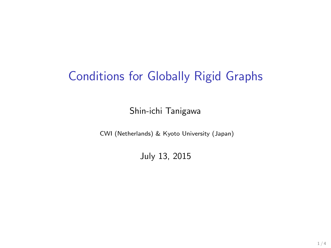## Conditions for Globally Rigid Graphs

Shin-ichi Tanigawa

CWI (Netherlands) & Kyoto University (Japan)

July 13, 2015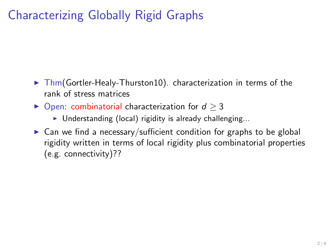## Characterizing Globally Rigid Graphs

- $\triangleright$  Thm(Gortler-Healy-Thurston10). characterization in terms of the rank of stress matrices
- $\triangleright$  Open: combinatorial characterization for  $d \geq 3$ 
	- $\triangleright$  Understanding (local) rigidity is already challenging...
- $\triangleright$  Can we find a necessary/sufficient condition for graphs to be global rigidity written in terms of local rigidity plus combinatorial properties (e.g. connectivity)??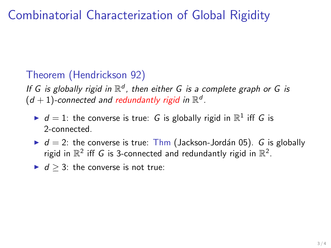## Combinatorial Characterization of Global Rigidity

## Theorem (Hendrickson 92)

If G is globally rigid in  $\mathbb{R}^d$ , then either G is a complete graph or G is  $(d+1)$ -connected and redundantly rigid in  $\mathbb{R}^d$ .

- $\blacktriangleright$   $d = 1$ : the converse is true: G is globally rigid in  $\mathbb{R}^1$  iff G is 2-connected.
- $\blacktriangleright$  d = 2: the converse is true: Thm (Jackson-Jordán 05). G is globally rigid in  $\mathbb{R}^2$  iff G is 3-connected and redundantly rigid in  $\mathbb{R}^2$ .
- $\blacktriangleright$  d ≥ 3: the converse is not true: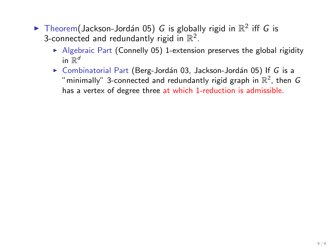- Theorem (Jackson-Jordán 05) G is globally rigid in  $\mathbb{R}^2$  iff G is 3-connected and redundantly rigid in  $\mathbb{R}^2$ .
	- $\triangleright$  Algebraic Part (Connelly 05) 1-extension preserves the global rigidity in  $\mathbb{R}^d$
	- $\triangleright$  Combinatorial Part (Berg-Jordán 03, Jackson-Jordán 05) If G is a "minimally" 3-connected and redundantly rigid graph in  $\mathbb{R}^2$ , then  $G$ has a vertex of degree three at which 1-reduction is admissible.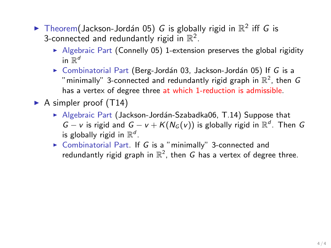- Theorem (Jackson-Jordán 05) G is globally rigid in  $\mathbb{R}^2$  iff G is 3-connected and redundantly rigid in  $\mathbb{R}^2$ .
	- $\triangleright$  Algebraic Part (Connelly 05) 1-extension preserves the global rigidity in  $\mathbb{R}^d$
	- $\triangleright$  Combinatorial Part (Berg-Jordán 03, Jackson-Jordán 05) If G is a "minimally" 3-connected and redundantly rigid graph in  $\mathbb{R}^2$ , then  $G$ has a vertex of degree three at which 1-reduction is admissible.
- A simpler proof  $(T14)$ 
	- $\blacktriangleright$  Algebraic Part (Jackson-Jordán-Szabadka06, T.14) Suppose that  $G - v$  is rigid and  $G - v + K(N_G(v))$  is globally rigid in  $\mathbb{R}^d$ . Then G is globally rigid in  $\mathbb{R}^d$ .
	- $\triangleright$  Combinatorial Part. If G is a "minimally" 3-connected and redundantly rigid graph in  $\mathbb{R}^2$ , then G has a vertex of degree three.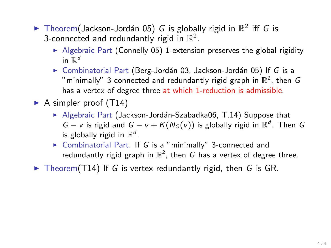- Theorem (Jackson-Jordán 05) G is globally rigid in  $\mathbb{R}^2$  iff G is 3-connected and redundantly rigid in  $\mathbb{R}^2$ .
	- $\blacktriangleright$  Algebraic Part (Connelly 05) 1-extension preserves the global rigidity in  $\mathbb{R}^d$
	- $\triangleright$  Combinatorial Part (Berg-Jordán 03, Jackson-Jordán 05) If G is a "minimally" 3-connected and redundantly rigid graph in  $\mathbb{R}^2$ , then  $G$ has a vertex of degree three at which 1-reduction is admissible.
- A simpler proof  $(T14)$ 
	- $\blacktriangleright$  Algebraic Part (Jackson-Jordán-Szabadka06, T.14) Suppose that  $G - v$  is rigid and  $G - v + K(N_G(v))$  is globally rigid in  $\mathbb{R}^d$ . Then G is globally rigid in  $\mathbb{R}^d$ .
	- $\triangleright$  Combinatorial Part. If G is a "minimally" 3-connected and redundantly rigid graph in  $\mathbb{R}^2$ , then G has a vertex of degree three.
- $\triangleright$  Theorem(T14) If G is vertex redundantly rigid, then G is GR.